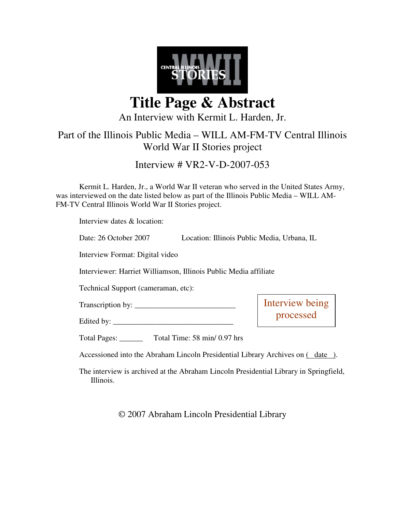

**Title Page & Abstract** 

An Interview with Kermit L. Harden, Jr.

## Part of the Illinois Public Media – WILL AM-FM-TV Central Illinois World War II Stories project

Interview # VR2-V-D-2007-053

Kermit L. Harden, Jr., a World War II veteran who served in the United States Army, was interviewed on the date listed below as part of the Illinois Public Media – WILL AM-FM-TV Central Illinois World War II Stories project.

Interview dates & location:

Date: 26 October 2007 Location: Illinois Public Media, Urbana, IL

Interview Format: Digital video

Interviewer: Harriet Williamson, Illinois Public Media affiliate

Technical Support (cameraman, etc):

Edited by: \_\_\_\_\_\_\_\_\_\_\_\_\_\_\_\_\_\_\_\_\_\_\_\_\_\_\_\_\_\_\_

Transcription by: \_\_\_\_\_\_\_\_\_\_\_\_\_\_\_\_\_\_\_\_\_\_\_\_\_\_

Interview being processed

Total Pages: \_\_\_\_\_\_ Total Time: 58 min/ 0.97 hrs

Accessioned into the Abraham Lincoln Presidential Library Archives on  $($  date ).

The interview is archived at the Abraham Lincoln Presidential Library in Springfield, Illinois.

© 2007 Abraham Lincoln Presidential Library